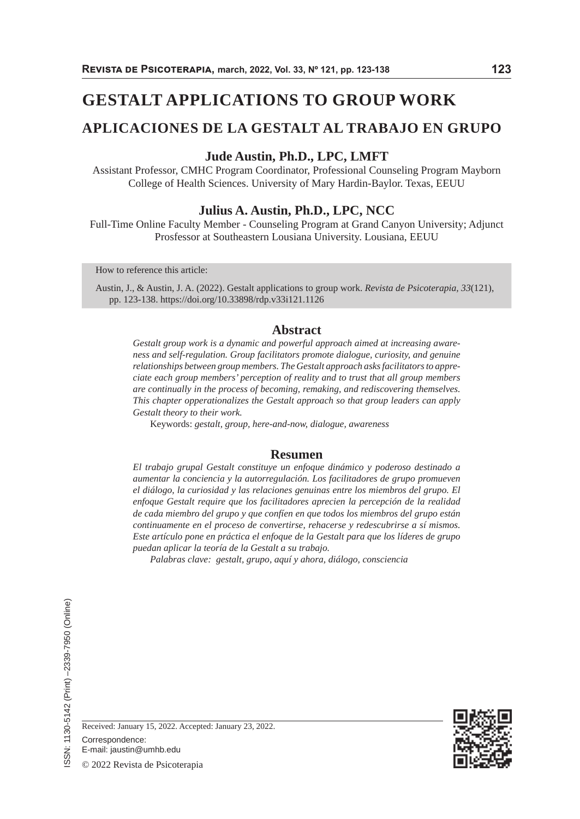# **GESTALT APPLICATIONS TO GROUP WORK**

# **APLICACIONES DE LA GESTALT AL TRABAJO EN GRUPO**

## **Jude Austin, Ph.D., LPC, LMFT**

Assistant Professor, CMHC Program Coordinator, Professional Counseling Program Mayborn College of Health Sciences. University of Mary Hardin-Baylor. Texas, EEUU

#### **Julius A. Austin, Ph.D., LPC, NCC**

Full-Time Online Faculty Member - Counseling Program at Grand Canyon University; Adjunct Prosfessor at Southeastern Lousiana University. Lousiana, EEUU

How to reference this article:

Austin, J., & Austin, J. A. (2022). Gestalt applications to group work. *Revista de Psicoterapia, 33*(121), pp. 123-138. https://doi.org/10.33898/rdp.v33i121.1126

#### **Abstract**

*Gestalt group work is a dynamic and powerful approach aimed at increasing awareness and self-regulation. Group facilitators promote dialogue, curiosity, and genuine relationships between group members. The Gestalt approach asks facilitators to appreciate each group members' perception of reality and to trust that all group members are continually in the process of becoming, remaking, and rediscovering themselves. This chapter opperationalizes the Gestalt approach so that group leaders can apply Gestalt theory to their work.*

Keywords: *gestalt, group, here-and-now, dialogue, awareness*

#### **Resumen**

*El trabajo grupal Gestalt constituye un enfoque dinámico y poderoso destinado a aumentar la conciencia y la autorregulación. Los facilitadores de grupo promueven el diálogo, la curiosidad y las relaciones genuinas entre los miembros del grupo. El enfoque Gestalt require que los facilitadores aprecien la percepción de la realidad de cada miembro del grupo y que confíen en que todos los miembros del grupo están continuamente en el proceso de convertirse, rehacerse y redescubrirse a sí mismos. Este artículo pone en práctica el enfoque de la Gestalt para que los líderes de grupo puedan aplicar la teoría de la Gestalt a su trabajo.*

*Palabras clave: gestalt, grupo, aquí y ahora, diálogo, consciencia*



Correspondence:

E-mail: jaustin@umhb.edu

© 2022 Revista de Psicoterapia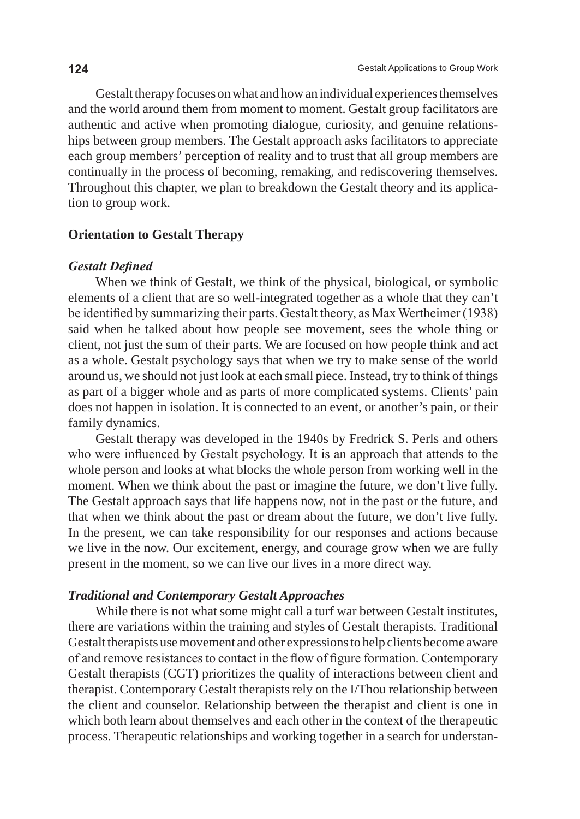Gestalt therapy focuses on what and how an individual experiences themselves and the world around them from moment to moment. Gestalt group facilitators are authentic and active when promoting dialogue, curiosity, and genuine relationships between group members. The Gestalt approach asks facilitators to appreciate each group members' perception of reality and to trust that all group members are continually in the process of becoming, remaking, and rediscovering themselves. Throughout this chapter, we plan to breakdown the Gestalt theory and its application to group work.

### **Orientation to Gestalt Therapy**

#### *Gestalt Defined*

When we think of Gestalt, we think of the physical, biological, or symbolic elements of a client that are so well-integrated together as a whole that they can't be identified by summarizing their parts. Gestalt theory, as Max Wertheimer (1938) said when he talked about how people see movement, sees the whole thing or client, not just the sum of their parts. We are focused on how people think and act as a whole. Gestalt psychology says that when we try to make sense of the world around us, we should not just look at each small piece. Instead, try to think of things as part of a bigger whole and as parts of more complicated systems. Clients' pain does not happen in isolation. It is connected to an event, or another's pain, or their family dynamics.

Gestalt therapy was developed in the 1940s by Fredrick S. Perls and others who were influenced by Gestalt psychology. It is an approach that attends to the whole person and looks at what blocks the whole person from working well in the moment. When we think about the past or imagine the future, we don't live fully. The Gestalt approach says that life happens now, not in the past or the future, and that when we think about the past or dream about the future, we don't live fully. In the present, we can take responsibility for our responses and actions because we live in the now. Our excitement, energy, and courage grow when we are fully present in the moment, so we can live our lives in a more direct way.

#### *Traditional and Contemporary Gestalt Approaches*

While there is not what some might call a turf war between Gestalt institutes, there are variations within the training and styles of Gestalt therapists. Traditional Gestalt therapists use movement and other expressions to help clients become aware of and remove resistances to contact in the flow of figure formation. Contemporary Gestalt therapists (CGT) prioritizes the quality of interactions between client and therapist. Contemporary Gestalt therapists rely on the I/Thou relationship between the client and counselor. Relationship between the therapist and client is one in which both learn about themselves and each other in the context of the therapeutic process. Therapeutic relationships and working together in a search for understan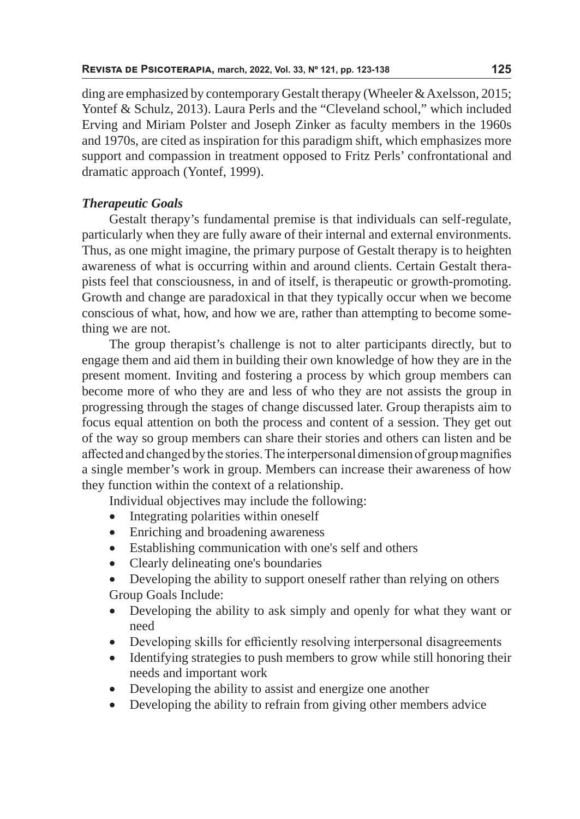ding are emphasized by contemporary Gestalt therapy (Wheeler & Axelsson, 2015; Yontef & Schulz, 2013). Laura Perls and the "Cleveland school," which included Erving and Miriam Polster and Joseph Zinker as faculty members in the 1960s and 1970s, are cited as inspiration for this paradigm shift, which emphasizes more support and compassion in treatment opposed to Fritz Perls' confrontational and dramatic approach (Yontef, 1999).

# *Therapeutic Goals*

Gestalt therapy's fundamental premise is that individuals can self-regulate, particularly when they are fully aware of their internal and external environments. Thus, as one might imagine, the primary purpose of Gestalt therapy is to heighten awareness of what is occurring within and around clients. Certain Gestalt therapists feel that consciousness, in and of itself, is therapeutic or growth-promoting. Growth and change are paradoxical in that they typically occur when we become conscious of what, how, and how we are, rather than attempting to become something we are not.

The group therapist's challenge is not to alter participants directly, but to engage them and aid them in building their own knowledge of how they are in the present moment. Inviting and fostering a process by which group members can become more of who they are and less of who they are not assists the group in progressing through the stages of change discussed later. Group therapists aim to focus equal attention on both the process and content of a session. They get out of the way so group members can share their stories and others can listen and be affected and changed by the stories. The interpersonal dimension of group magnifies a single member's work in group. Members can increase their awareness of how they function within the context of a relationship.

Individual objectives may include the following:

- Integrating polarities within oneself
- Enriching and broadening awareness
- Establishing communication with one's self and others
- Clearly delineating one's boundaries
- Developing the ability to support oneself rather than relying on others Group Goals Include:
- Developing the ability to ask simply and openly for what they want or need
- Developing skills for efficiently resolving interpersonal disagreements
- Identifying strategies to push members to grow while still honoring their needs and important work
- Developing the ability to assist and energize one another
- Developing the ability to refrain from giving other members advice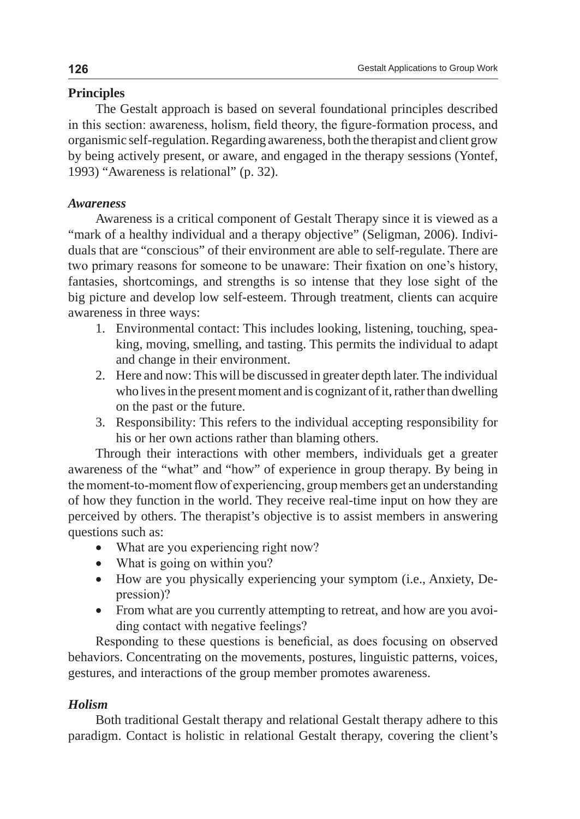# **Principles**

The Gestalt approach is based on several foundational principles described in this section: awareness, holism, field theory, the figure-formation process, and organismic self-regulation. Regarding awareness, both the therapist and client grow by being actively present, or aware, and engaged in the therapy sessions (Yontef, 1993) "Awareness is relational" (p. 32).

# *Awareness*

Awareness is a critical component of Gestalt Therapy since it is viewed as a "mark of a healthy individual and a therapy objective" (Seligman, 2006). Individuals that are "conscious" of their environment are able to self-regulate. There are two primary reasons for someone to be unaware: Their fixation on one's history, fantasies, shortcomings, and strengths is so intense that they lose sight of the big picture and develop low self-esteem. Through treatment, clients can acquire awareness in three ways:

- 1. Environmental contact: This includes looking, listening, touching, speaking, moving, smelling, and tasting. This permits the individual to adapt and change in their environment.
- 2. Here and now: This will be discussed in greater depth later. The individual who lives in the present moment and is cognizant of it, rather than dwelling on the past or the future.
- 3. Responsibility: This refers to the individual accepting responsibility for his or her own actions rather than blaming others.

Through their interactions with other members, individuals get a greater awareness of the "what" and "how" of experience in group therapy. By being in the moment-to-moment flow of experiencing, group members get an understanding of how they function in the world. They receive real-time input on how they are perceived by others. The therapist's objective is to assist members in answering questions such as:

- What are you experiencing right now?
- What is going on within you?
- How are you physically experiencing your symptom (i.e., Anxiety, Depression)?
- From what are you currently attempting to retreat, and how are you avoiding contact with negative feelings?

Responding to these questions is beneficial, as does focusing on observed behaviors. Concentrating on the movements, postures, linguistic patterns, voices, gestures, and interactions of the group member promotes awareness.

# *Holism*

Both traditional Gestalt therapy and relational Gestalt therapy adhere to this paradigm. Contact is holistic in relational Gestalt therapy, covering the client's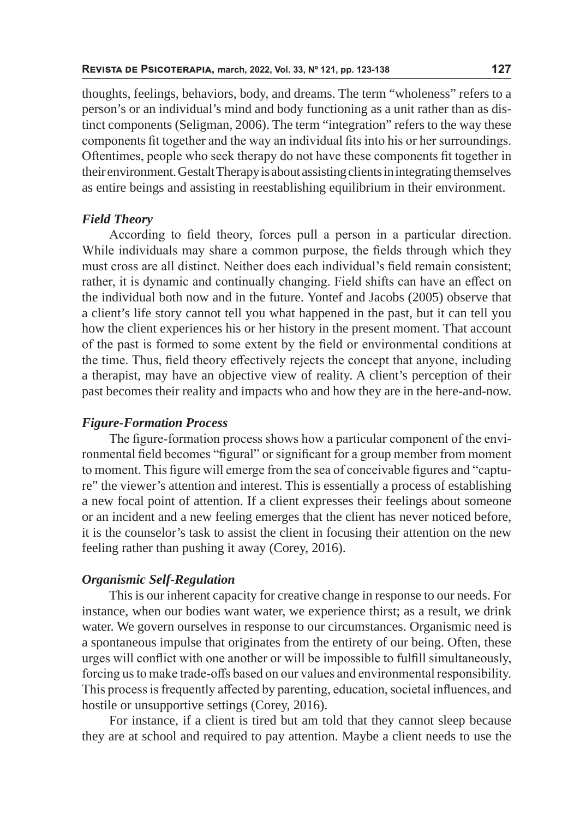thoughts, feelings, behaviors, body, and dreams. The term "wholeness" refers to a person's or an individual's mind and body functioning as a unit rather than as distinct components (Seligman, 2006). The term "integration" refers to the way these components fit together and the way an individual fits into his or her surroundings. Oftentimes, people who seek therapy do not have these components fit together in their environment. Gestalt Therapy is about assisting clients in integrating themselves as entire beings and assisting in reestablishing equilibrium in their environment.

### *Field Theory*

According to field theory, forces pull a person in a particular direction. While individuals may share a common purpose, the fields through which they must cross are all distinct. Neither does each individual's field remain consistent; rather, it is dynamic and continually changing. Field shifts can have an effect on the individual both now and in the future. Yontef and Jacobs (2005) observe that a client's life story cannot tell you what happened in the past, but it can tell you how the client experiences his or her history in the present moment. That account of the past is formed to some extent by the field or environmental conditions at the time. Thus, field theory effectively rejects the concept that anyone, including a therapist, may have an objective view of reality. A client's perception of their past becomes their reality and impacts who and how they are in the here-and-now.

## *Figure-Formation Process*

The figure-formation process shows how a particular component of the environmental field becomes "figural" or significant for a group member from moment to moment. This figure will emerge from the sea of conceivable figures and "capture" the viewer's attention and interest. This is essentially a process of establishing a new focal point of attention. If a client expresses their feelings about someone or an incident and a new feeling emerges that the client has never noticed before, it is the counselor's task to assist the client in focusing their attention on the new feeling rather than pushing it away (Corey, 2016).

# *Organismic Self-Regulation*

This is our inherent capacity for creative change in response to our needs. For instance, when our bodies want water, we experience thirst; as a result, we drink water. We govern ourselves in response to our circumstances. Organismic need is a spontaneous impulse that originates from the entirety of our being. Often, these urges will conflict with one another or will be impossible to fulfill simultaneously, forcing us to make trade-offs based on our values and environmental responsibility. This process is frequently affected by parenting, education, societal influences, and hostile or unsupportive settings (Corey, 2016).

For instance, if a client is tired but am told that they cannot sleep because they are at school and required to pay attention. Maybe a client needs to use the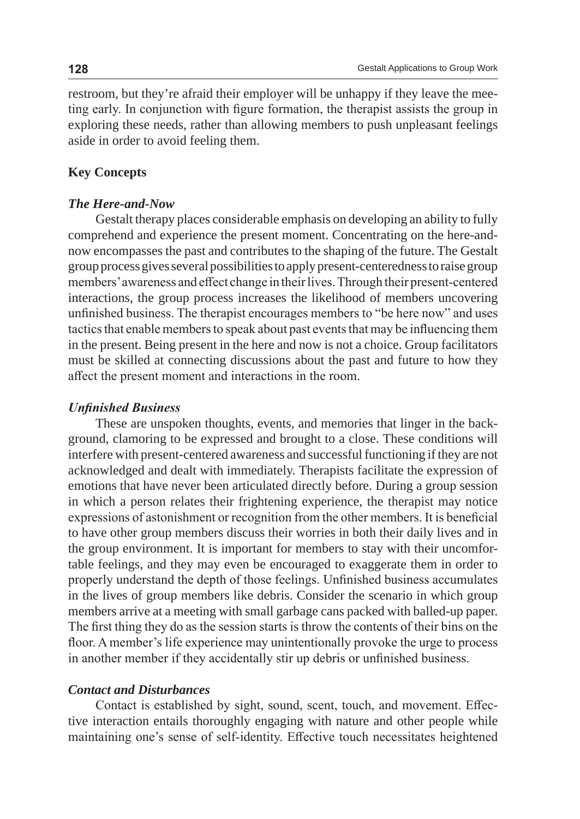restroom, but they're afraid their employer will be unhappy if they leave the meeting early. In conjunction with figure formation, the therapist assists the group in exploring these needs, rather than allowing members to push unpleasant feelings aside in order to avoid feeling them.

# **Key Concepts**

# *The Here-and-Now*

Gestalt therapy places considerable emphasis on developing an ability to fully comprehend and experience the present moment. Concentrating on the here-andnow encompasses the past and contributes to the shaping of the future. The Gestalt group process gives several possibilities to apply present-centeredness to raise group members' awareness and effect change in their lives. Through their present-centered interactions, the group process increases the likelihood of members uncovering unfinished business. The therapist encourages members to "be here now" and uses tactics that enable members to speak about past events that may be influencing them in the present. Being present in the here and now is not a choice. Group facilitators must be skilled at connecting discussions about the past and future to how they affect the present moment and interactions in the room.

## *Unfinished Business*

These are unspoken thoughts, events, and memories that linger in the background, clamoring to be expressed and brought to a close. These conditions will interfere with present-centered awareness and successful functioning if they are not acknowledged and dealt with immediately. Therapists facilitate the expression of emotions that have never been articulated directly before. During a group session in which a person relates their frightening experience, the therapist may notice expressions of astonishment or recognition from the other members. It is beneficial to have other group members discuss their worries in both their daily lives and in the group environment. It is important for members to stay with their uncomfortable feelings, and they may even be encouraged to exaggerate them in order to properly understand the depth of those feelings. Unfinished business accumulates in the lives of group members like debris. Consider the scenario in which group members arrive at a meeting with small garbage cans packed with balled-up paper. The first thing they do as the session starts is throw the contents of their bins on the floor. A member's life experience may unintentionally provoke the urge to process in another member if they accidentally stir up debris or unfinished business.

### *Contact and Disturbances*

Contact is established by sight, sound, scent, touch, and movement. Effective interaction entails thoroughly engaging with nature and other people while maintaining one's sense of self-identity. Effective touch necessitates heightened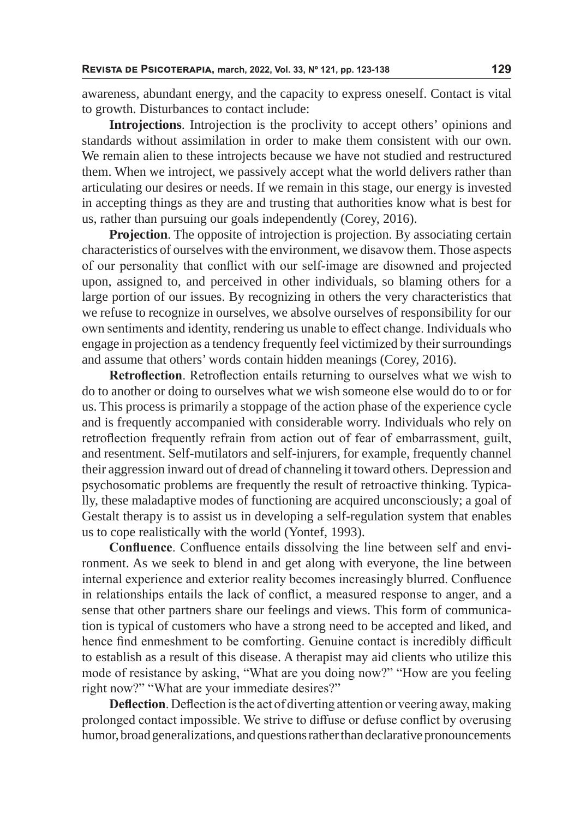awareness, abundant energy, and the capacity to express oneself. Contact is vital to growth. Disturbances to contact include:

**Introjections**. Introjection is the proclivity to accept others' opinions and standards without assimilation in order to make them consistent with our own. We remain alien to these introjects because we have not studied and restructured them. When we introject, we passively accept what the world delivers rather than articulating our desires or needs. If we remain in this stage, our energy is invested in accepting things as they are and trusting that authorities know what is best for us, rather than pursuing our goals independently (Corey, 2016).

**Projection**. The opposite of introjection is projection. By associating certain characteristics of ourselves with the environment, we disavow them. Those aspects of our personality that conflict with our self-image are disowned and projected upon, assigned to, and perceived in other individuals, so blaming others for a large portion of our issues. By recognizing in others the very characteristics that we refuse to recognize in ourselves, we absolve ourselves of responsibility for our own sentiments and identity, rendering us unable to effect change. Individuals who engage in projection as a tendency frequently feel victimized by their surroundings and assume that others' words contain hidden meanings (Corey, 2016).

**Retroflection**. Retroflection entails returning to ourselves what we wish to do to another or doing to ourselves what we wish someone else would do to or for us. This process is primarily a stoppage of the action phase of the experience cycle and is frequently accompanied with considerable worry. Individuals who rely on retroflection frequently refrain from action out of fear of embarrassment, guilt, and resentment. Self-mutilators and self-injurers, for example, frequently channel their aggression inward out of dread of channeling it toward others. Depression and psychosomatic problems are frequently the result of retroactive thinking. Typically, these maladaptive modes of functioning are acquired unconsciously; a goal of Gestalt therapy is to assist us in developing a self-regulation system that enables us to cope realistically with the world (Yontef, 1993).

**Confluence**. Confluence entails dissolving the line between self and environment. As we seek to blend in and get along with everyone, the line between internal experience and exterior reality becomes increasingly blurred. Confluence in relationships entails the lack of conflict, a measured response to anger, and a sense that other partners share our feelings and views. This form of communication is typical of customers who have a strong need to be accepted and liked, and hence find enmeshment to be comforting. Genuine contact is incredibly difficult to establish as a result of this disease. A therapist may aid clients who utilize this mode of resistance by asking, "What are you doing now?" "How are you feeling right now?" "What are your immediate desires?"

**Deflection**. Deflection is the act of diverting attention or veering away, making prolonged contact impossible. We strive to diffuse or defuse conflict by overusing humor, broad generalizations, and questions rather than declarative pronouncements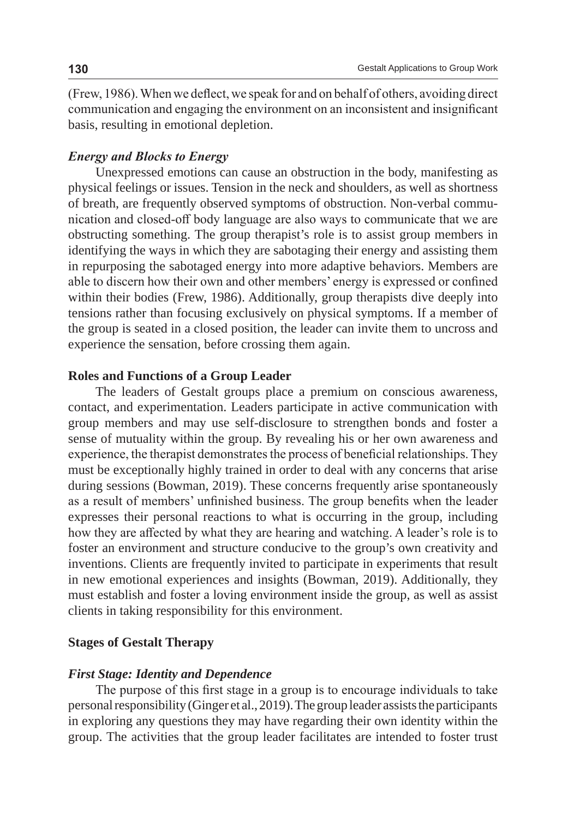(Frew, 1986). When we deflect, we speak for and on behalf of others, avoiding direct communication and engaging the environment on an inconsistent and insignificant basis, resulting in emotional depletion.

# *Energy and Blocks to Energy*

Unexpressed emotions can cause an obstruction in the body, manifesting as physical feelings or issues. Tension in the neck and shoulders, as well as shortness of breath, are frequently observed symptoms of obstruction. Non-verbal communication and closed-off body language are also ways to communicate that we are obstructing something. The group therapist's role is to assist group members in identifying the ways in which they are sabotaging their energy and assisting them in repurposing the sabotaged energy into more adaptive behaviors. Members are able to discern how their own and other members' energy is expressed or confined within their bodies (Frew, 1986). Additionally, group therapists dive deeply into tensions rather than focusing exclusively on physical symptoms. If a member of the group is seated in a closed position, the leader can invite them to uncross and experience the sensation, before crossing them again.

# **Roles and Functions of a Group Leader**

The leaders of Gestalt groups place a premium on conscious awareness, contact, and experimentation. Leaders participate in active communication with group members and may use self-disclosure to strengthen bonds and foster a sense of mutuality within the group. By revealing his or her own awareness and experience, the therapist demonstrates the process of beneficial relationships. They must be exceptionally highly trained in order to deal with any concerns that arise during sessions (Bowman, 2019). These concerns frequently arise spontaneously as a result of members' unfinished business. The group benefits when the leader expresses their personal reactions to what is occurring in the group, including how they are affected by what they are hearing and watching. A leader's role is to foster an environment and structure conducive to the group's own creativity and inventions. Clients are frequently invited to participate in experiments that result in new emotional experiences and insights (Bowman, 2019). Additionally, they must establish and foster a loving environment inside the group, as well as assist clients in taking responsibility for this environment.

#### **Stages of Gestalt Therapy**

#### *First Stage: Identity and Dependence*

The purpose of this first stage in a group is to encourage individuals to take personal responsibility (Ginger et al., 2019). The group leader assists the participants in exploring any questions they may have regarding their own identity within the group. The activities that the group leader facilitates are intended to foster trust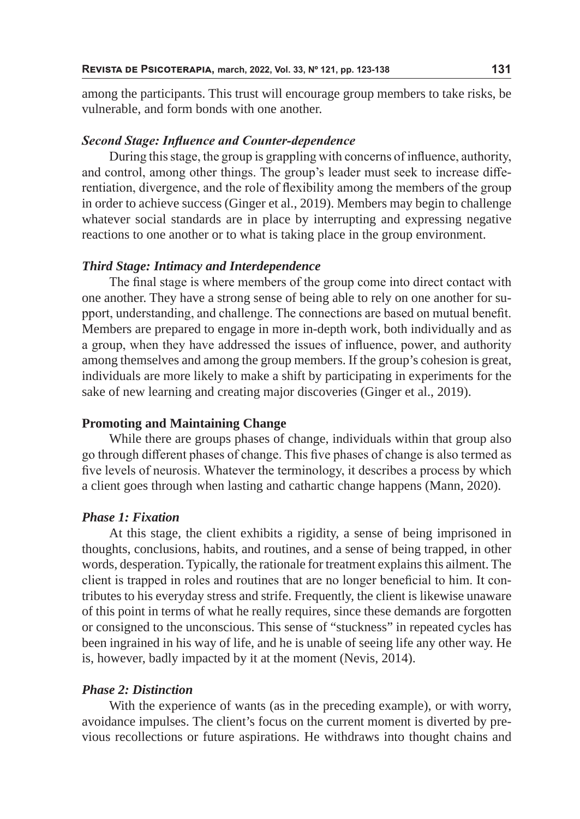among the participants. This trust will encourage group members to take risks, be vulnerable, and form bonds with one another.

### *Second Stage: Influence and Counter-dependence*

During this stage, the group is grappling with concerns of influence, authority, and control, among other things. The group's leader must seek to increase differentiation, divergence, and the role of flexibility among the members of the group in order to achieve success (Ginger et al., 2019). Members may begin to challenge whatever social standards are in place by interrupting and expressing negative reactions to one another or to what is taking place in the group environment.

# *Third Stage: Intimacy and Interdependence*

The final stage is where members of the group come into direct contact with one another. They have a strong sense of being able to rely on one another for support, understanding, and challenge. The connections are based on mutual benefit. Members are prepared to engage in more in-depth work, both individually and as a group, when they have addressed the issues of influence, power, and authority among themselves and among the group members. If the group's cohesion is great, individuals are more likely to make a shift by participating in experiments for the sake of new learning and creating major discoveries (Ginger et al., 2019).

### **Promoting and Maintaining Change**

While there are groups phases of change, individuals within that group also go through different phases of change. This five phases of change is also termed as five levels of neurosis. Whatever the terminology, it describes a process by which a client goes through when lasting and cathartic change happens (Mann, 2020).

### *Phase 1: Fixation*

At this stage, the client exhibits a rigidity, a sense of being imprisoned in thoughts, conclusions, habits, and routines, and a sense of being trapped, in other words, desperation. Typically, the rationale for treatment explains this ailment. The client is trapped in roles and routines that are no longer beneficial to him. It contributes to his everyday stress and strife. Frequently, the client is likewise unaware of this point in terms of what he really requires, since these demands are forgotten or consigned to the unconscious. This sense of "stuckness" in repeated cycles has been ingrained in his way of life, and he is unable of seeing life any other way. He is, however, badly impacted by it at the moment (Nevis, 2014).

# *Phase 2: Distinction*

With the experience of wants (as in the preceding example), or with worry, avoidance impulses. The client's focus on the current moment is diverted by previous recollections or future aspirations. He withdraws into thought chains and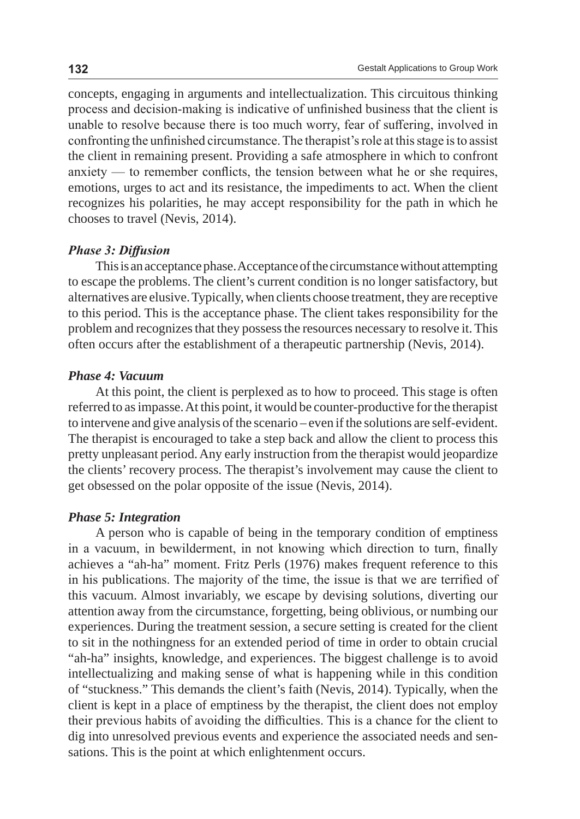concepts, engaging in arguments and intellectualization. This circuitous thinking process and decision-making is indicative of unfinished business that the client is unable to resolve because there is too much worry, fear of suffering, involved in confronting the unfinished circumstance. The therapist's role at this stage is to assist the client in remaining present. Providing a safe atmosphere in which to confront anxiety — to remember conflicts, the tension between what he or she requires, emotions, urges to act and its resistance, the impediments to act. When the client recognizes his polarities, he may accept responsibility for the path in which he chooses to travel (Nevis, 2014).

# *Phase 3: Diffusion*

This is an acceptance phase. Acceptance of the circumstance without attempting to escape the problems. The client's current condition is no longer satisfactory, but alternatives are elusive. Typically, when clients choose treatment, they are receptive to this period. This is the acceptance phase. The client takes responsibility for the problem and recognizes that they possess the resources necessary to resolve it. This often occurs after the establishment of a therapeutic partnership (Nevis, 2014).

# *Phase 4: Vacuum*

At this point, the client is perplexed as to how to proceed. This stage is often referred to as impasse. At this point, it would be counter-productive for the therapist to intervene and give analysis of the scenario – even if the solutions are self-evident. The therapist is encouraged to take a step back and allow the client to process this pretty unpleasant period. Any early instruction from the therapist would jeopardize the clients' recovery process. The therapist's involvement may cause the client to get obsessed on the polar opposite of the issue (Nevis, 2014).

### *Phase 5: Integration*

A person who is capable of being in the temporary condition of emptiness in a vacuum, in bewilderment, in not knowing which direction to turn, finally achieves a "ah-ha" moment. Fritz Perls (1976) makes frequent reference to this in his publications. The majority of the time, the issue is that we are terrified of this vacuum. Almost invariably, we escape by devising solutions, diverting our attention away from the circumstance, forgetting, being oblivious, or numbing our experiences. During the treatment session, a secure setting is created for the client to sit in the nothingness for an extended period of time in order to obtain crucial "ah-ha" insights, knowledge, and experiences. The biggest challenge is to avoid intellectualizing and making sense of what is happening while in this condition of "stuckness." This demands the client's faith (Nevis, 2014). Typically, when the client is kept in a place of emptiness by the therapist, the client does not employ their previous habits of avoiding the difficulties. This is a chance for the client to dig into unresolved previous events and experience the associated needs and sensations. This is the point at which enlightenment occurs.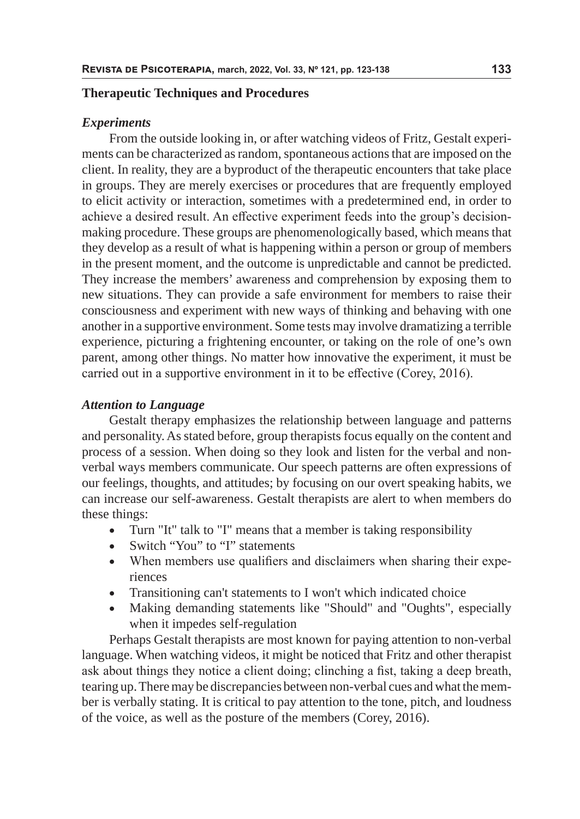#### **Therapeutic Techniques and Procedures**

### *Experiments*

From the outside looking in, or after watching videos of Fritz, Gestalt experiments can be characterized as random, spontaneous actions that are imposed on the client. In reality, they are a byproduct of the therapeutic encounters that take place in groups. They are merely exercises or procedures that are frequently employed to elicit activity or interaction, sometimes with a predetermined end, in order to achieve a desired result. An effective experiment feeds into the group's decisionmaking procedure. These groups are phenomenologically based, which means that they develop as a result of what is happening within a person or group of members in the present moment, and the outcome is unpredictable and cannot be predicted. They increase the members' awareness and comprehension by exposing them to new situations. They can provide a safe environment for members to raise their consciousness and experiment with new ways of thinking and behaving with one another in a supportive environment. Some tests may involve dramatizing a terrible experience, picturing a frightening encounter, or taking on the role of one's own parent, among other things. No matter how innovative the experiment, it must be carried out in a supportive environment in it to be effective (Corey, 2016).

### *Attention to Language*

Gestalt therapy emphasizes the relationship between language and patterns and personality. As stated before, group therapists focus equally on the content and process of a session. When doing so they look and listen for the verbal and nonverbal ways members communicate. Our speech patterns are often expressions of our feelings, thoughts, and attitudes; by focusing on our overt speaking habits, we can increase our self-awareness. Gestalt therapists are alert to when members do these things:

- Turn "It" talk to "I" means that a member is taking responsibility
- Switch "You" to "I" statements
- When members use qualifiers and disclaimers when sharing their experiences
- Transitioning can't statements to I won't which indicated choice
- Making demanding statements like "Should" and "Oughts", especially when it impedes self-regulation

Perhaps Gestalt therapists are most known for paying attention to non-verbal language. When watching videos, it might be noticed that Fritz and other therapist ask about things they notice a client doing; clinching a fist, taking a deep breath, tearing up. There may be discrepancies between non-verbal cues and what the member is verbally stating. It is critical to pay attention to the tone, pitch, and loudness of the voice, as well as the posture of the members (Corey, 2016).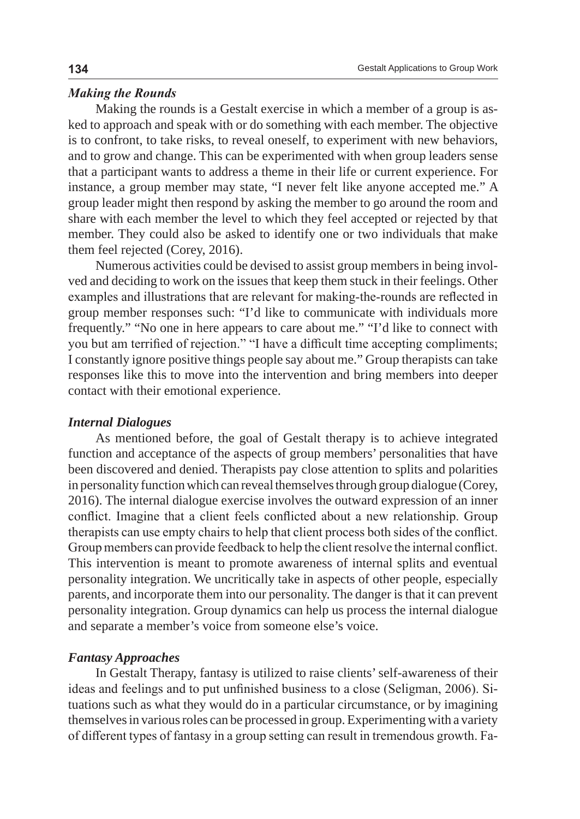## *Making the Rounds*

Making the rounds is a Gestalt exercise in which a member of a group is asked to approach and speak with or do something with each member. The objective is to confront, to take risks, to reveal oneself, to experiment with new behaviors, and to grow and change. This can be experimented with when group leaders sense that a participant wants to address a theme in their life or current experience. For instance, a group member may state, "I never felt like anyone accepted me." A group leader might then respond by asking the member to go around the room and share with each member the level to which they feel accepted or rejected by that member. They could also be asked to identify one or two individuals that make them feel rejected (Corey, 2016).

Numerous activities could be devised to assist group members in being involved and deciding to work on the issues that keep them stuck in their feelings. Other examples and illustrations that are relevant for making-the-rounds are reflected in group member responses such: "I'd like to communicate with individuals more frequently." "No one in here appears to care about me." "I'd like to connect with you but am terrified of rejection." "I have a difficult time accepting compliments; I constantly ignore positive things people say about me." Group therapists can take responses like this to move into the intervention and bring members into deeper contact with their emotional experience.

# *Internal Dialogues*

As mentioned before, the goal of Gestalt therapy is to achieve integrated function and acceptance of the aspects of group members' personalities that have been discovered and denied. Therapists pay close attention to splits and polarities in personality function which can reveal themselves through group dialogue (Corey, 2016). The internal dialogue exercise involves the outward expression of an inner conflict. Imagine that a client feels conflicted about a new relationship. Group therapists can use empty chairs to help that client process both sides of the conflict. Group members can provide feedback to help the client resolve the internal conflict. This intervention is meant to promote awareness of internal splits and eventual personality integration. We uncritically take in aspects of other people, especially parents, and incorporate them into our personality. The danger is that it can prevent personality integration. Group dynamics can help us process the internal dialogue and separate a member's voice from someone else's voice.

### *Fantasy Approaches*

In Gestalt Therapy, fantasy is utilized to raise clients' self-awareness of their ideas and feelings and to put unfinished business to a close (Seligman, 2006). Situations such as what they would do in a particular circumstance, or by imagining themselves in various roles can be processed in group. Experimenting with a variety of different types of fantasy in a group setting can result in tremendous growth. Fa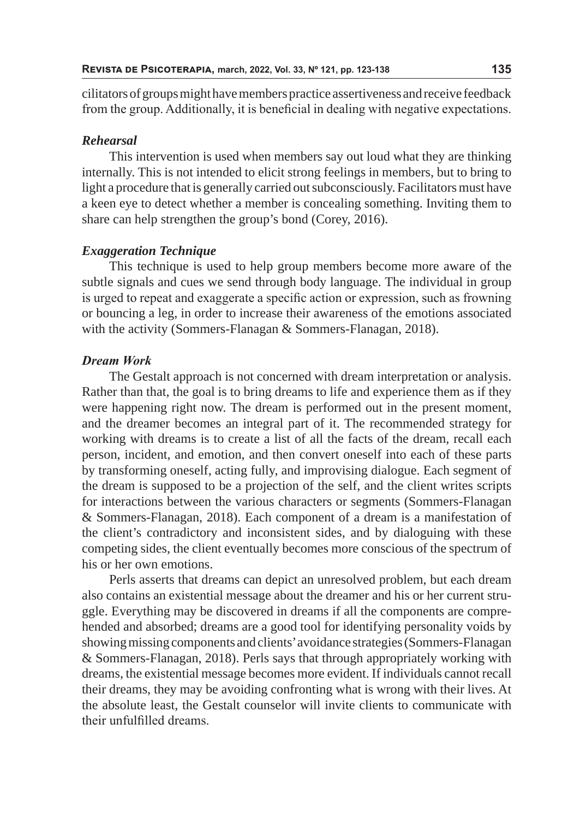cilitators of groups might have members practice assertiveness and receive feedback from the group. Additionally, it is beneficial in dealing with negative expectations.

# *Rehearsal*

This intervention is used when members say out loud what they are thinking internally. This is not intended to elicit strong feelings in members, but to bring to light a procedure that is generally carried out subconsciously. Facilitators must have a keen eye to detect whether a member is concealing something. Inviting them to share can help strengthen the group's bond (Corey, 2016).

## *Exaggeration Technique*

This technique is used to help group members become more aware of the subtle signals and cues we send through body language. The individual in group is urged to repeat and exaggerate a specific action or expression, such as frowning or bouncing a leg, in order to increase their awareness of the emotions associated with the activity (Sommers-Flanagan & Sommers-Flanagan, 2018).

# *Dream Work*

The Gestalt approach is not concerned with dream interpretation or analysis. Rather than that, the goal is to bring dreams to life and experience them as if they were happening right now. The dream is performed out in the present moment, and the dreamer becomes an integral part of it. The recommended strategy for working with dreams is to create a list of all the facts of the dream, recall each person, incident, and emotion, and then convert oneself into each of these parts by transforming oneself, acting fully, and improvising dialogue. Each segment of the dream is supposed to be a projection of the self, and the client writes scripts for interactions between the various characters or segments (Sommers-Flanagan & Sommers-Flanagan, 2018). Each component of a dream is a manifestation of the client's contradictory and inconsistent sides, and by dialoguing with these competing sides, the client eventually becomes more conscious of the spectrum of his or her own emotions.

Perls asserts that dreams can depict an unresolved problem, but each dream also contains an existential message about the dreamer and his or her current struggle. Everything may be discovered in dreams if all the components are comprehended and absorbed; dreams are a good tool for identifying personality voids by showing missing components and clients' avoidance strategies (Sommers-Flanagan & Sommers-Flanagan, 2018). Perls says that through appropriately working with dreams, the existential message becomes more evident. If individuals cannot recall their dreams, they may be avoiding confronting what is wrong with their lives. At the absolute least, the Gestalt counselor will invite clients to communicate with their unfulfilled dreams.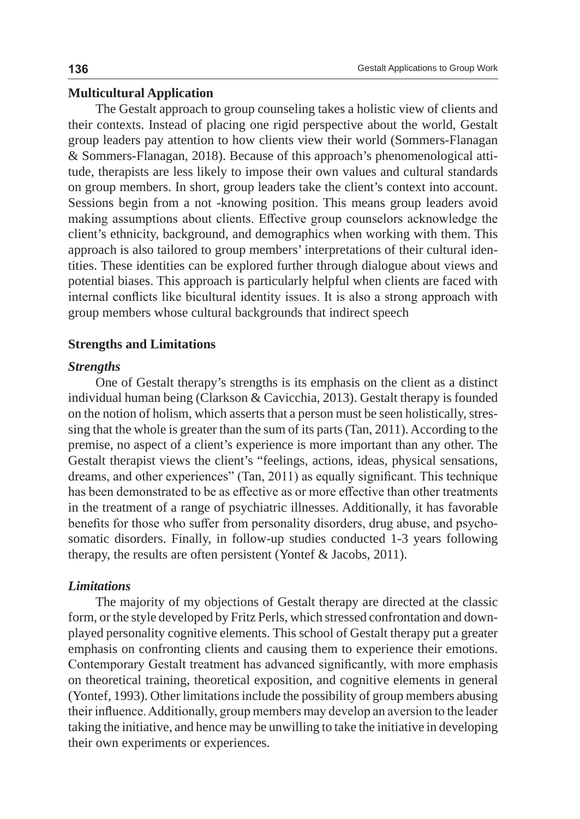# **Multicultural Application**

The Gestalt approach to group counseling takes a holistic view of clients and their contexts. Instead of placing one rigid perspective about the world, Gestalt group leaders pay attention to how clients view their world (Sommers-Flanagan & Sommers-Flanagan, 2018). Because of this approach's phenomenological attitude, therapists are less likely to impose their own values and cultural standards on group members. In short, group leaders take the client's context into account. Sessions begin from a not -knowing position. This means group leaders avoid making assumptions about clients. Effective group counselors acknowledge the client's ethnicity, background, and demographics when working with them. This approach is also tailored to group members' interpretations of their cultural identities. These identities can be explored further through dialogue about views and potential biases. This approach is particularly helpful when clients are faced with internal conflicts like bicultural identity issues. It is also a strong approach with group members whose cultural backgrounds that indirect speech

## **Strengths and Limitations**

#### *Strengths*

One of Gestalt therapy's strengths is its emphasis on the client as a distinct individual human being (Clarkson & Cavicchia, 2013). Gestalt therapy is founded on the notion of holism, which asserts that a person must be seen holistically, stressing that the whole is greater than the sum of its parts (Tan, 2011). According to the premise, no aspect of a client's experience is more important than any other. The Gestalt therapist views the client's "feelings, actions, ideas, physical sensations, dreams, and other experiences" (Tan, 2011) as equally significant. This technique has been demonstrated to be as effective as or more effective than other treatments in the treatment of a range of psychiatric illnesses. Additionally, it has favorable benefits for those who suffer from personality disorders, drug abuse, and psychosomatic disorders. Finally, in follow-up studies conducted 1-3 years following therapy, the results are often persistent (Yontef & Jacobs, 2011).

# *Limitations*

The majority of my objections of Gestalt therapy are directed at the classic form, or the style developed by Fritz Perls, which stressed confrontation and downplayed personality cognitive elements. This school of Gestalt therapy put a greater emphasis on confronting clients and causing them to experience their emotions. Contemporary Gestalt treatment has advanced significantly, with more emphasis on theoretical training, theoretical exposition, and cognitive elements in general (Yontef, 1993). Other limitations include the possibility of group members abusing their influence. Additionally, group members may develop an aversion to the leader taking the initiative, and hence may be unwilling to take the initiative in developing their own experiments or experiences.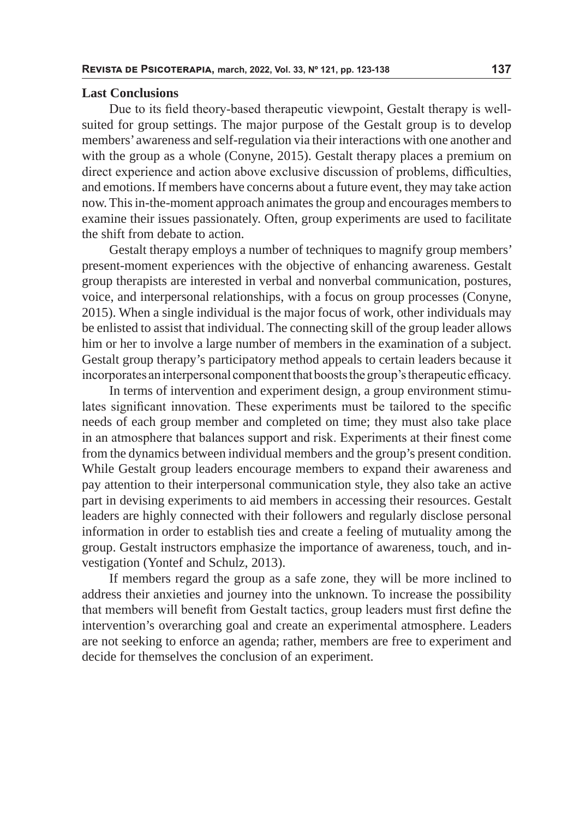#### **Last Conclusions**

Due to its field theory-based therapeutic viewpoint, Gestalt therapy is wellsuited for group settings. The major purpose of the Gestalt group is to develop members' awareness and self-regulation via their interactions with one another and with the group as a whole (Conyne, 2015). Gestalt therapy places a premium on direct experience and action above exclusive discussion of problems, difficulties, and emotions. If members have concerns about a future event, they may take action now. This in-the-moment approach animates the group and encourages members to examine their issues passionately. Often, group experiments are used to facilitate the shift from debate to action.

Gestalt therapy employs a number of techniques to magnify group members' present-moment experiences with the objective of enhancing awareness. Gestalt group therapists are interested in verbal and nonverbal communication, postures, voice, and interpersonal relationships, with a focus on group processes (Conyne, 2015). When a single individual is the major focus of work, other individuals may be enlisted to assist that individual. The connecting skill of the group leader allows him or her to involve a large number of members in the examination of a subject. Gestalt group therapy's participatory method appeals to certain leaders because it incorporates an interpersonal component that boosts the group's therapeutic efficacy.

In terms of intervention and experiment design, a group environment stimulates significant innovation. These experiments must be tailored to the specific needs of each group member and completed on time; they must also take place in an atmosphere that balances support and risk. Experiments at their finest come from the dynamics between individual members and the group's present condition. While Gestalt group leaders encourage members to expand their awareness and pay attention to their interpersonal communication style, they also take an active part in devising experiments to aid members in accessing their resources. Gestalt leaders are highly connected with their followers and regularly disclose personal information in order to establish ties and create a feeling of mutuality among the group. Gestalt instructors emphasize the importance of awareness, touch, and investigation (Yontef and Schulz, 2013).

If members regard the group as a safe zone, they will be more inclined to address their anxieties and journey into the unknown. To increase the possibility that members will benefit from Gestalt tactics, group leaders must first define the intervention's overarching goal and create an experimental atmosphere. Leaders are not seeking to enforce an agenda; rather, members are free to experiment and decide for themselves the conclusion of an experiment.